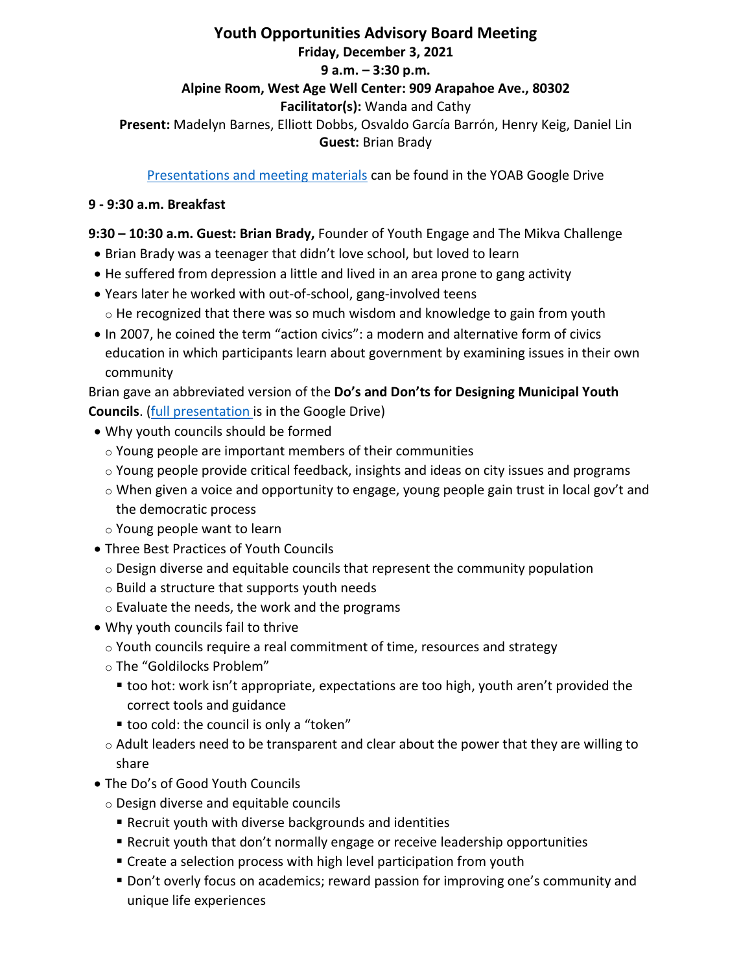# **Youth Opportunities Advisory Board Meeting Friday, December 3, 2021 9 a.m. – 3:30 p.m. Alpine Room, West Age Well Center: 909 Arapahoe Ave., 80302 Facilitator(s):** Wanda and Cathy **Present:** Madelyn Barnes, Elliott Dobbs, Osvaldo García Barrón, Henry Keig, Daniel Lin **Guest:** Brian Brady

[Presentations and meeting materials](https://drive.google.com/drive/folders/1nvx68-r6FbW_Aht0ZlI4jQz1v6r4ghTA?usp=sharing) can be found in the YOAB Google Drive

### **9 - 9:30 a.m. Breakfast**

#### **9:30 – 10:30 a.m. Guest: Brian Brady,** Founder of Youth Engage and The Mikva Challenge

- Brian Brady was a teenager that didn't love school, but loved to learn
- He suffered from depression a little and lived in an area prone to gang activity
- Years later he worked with out-of-school, gang-involved teens  $\circ$  He recognized that there was so much wisdom and knowledge to gain from youth
- In 2007, he coined the term "action civics": a modern and alternative form of civics education in which participants learn about government by examining issues in their own community

Brian gave an abbreviated version of the **Do's and Don'ts for Designing Municipal Youth Councils**. [\(full presentation](https://docs.google.com/presentation/d/1BuL52zLFicGLEe15BwGz3EhuvvXNtr4U/edit?usp=sharing&ouid=103893911494229843851&rtpof=true&sd=true) is in the Google Drive)

- Why youth councils should be formed
	- o Young people are important members of their communities
	- $\circ$  Young people provide critical feedback, insights and ideas on city issues and programs
	- $\circ$  When given a voice and opportunity to engage, young people gain trust in local gov't and the democratic process
	- o Young people want to learn
- Three Best Practices of Youth Councils
	- $\circ$  Design diverse and equitable councils that represent the community population
	- $\circ$  Build a structure that supports youth needs
	- o Evaluate the needs, the work and the programs
- Why youth councils fail to thrive
	- o Youth councils require a real commitment of time, resources and strategy
	- o The "Goldilocks Problem"
		- too hot: work isn't appropriate, expectations are too high, youth aren't provided the correct tools and guidance
		- too cold: the council is only a "token"
	- $\circ$  Adult leaders need to be transparent and clear about the power that they are willing to share
- The Do's of Good Youth Councils
	- o Design diverse and equitable councils
		- Recruit youth with diverse backgrounds and identities
		- Recruit youth that don't normally engage or receive leadership opportunities
		- Create a selection process with high level participation from youth
		- Don't overly focus on academics; reward passion for improving one's community and unique life experiences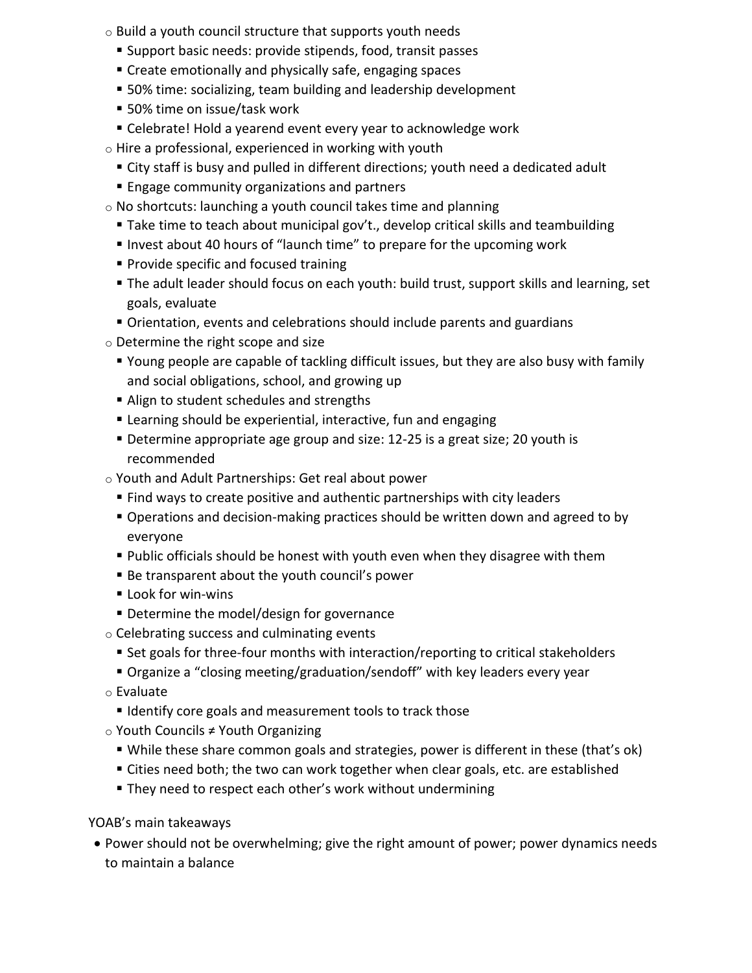- $\circ$  Build a youth council structure that supports youth needs
	- Support basic needs: provide stipends, food, transit passes
	- **Create emotionally and physically safe, engaging spaces**
	- **50%** time: socializing, team building and leadership development
	- 50% time on issue/task work
	- Celebrate! Hold a yearend event every year to acknowledge work
- $\circ$  Hire a professional, experienced in working with youth
	- City staff is busy and pulled in different directions; youth need a dedicated adult
	- **Engage community organizations and partners**
- o No shortcuts: launching a youth council takes time and planning
	- Take time to teach about municipal gov't., develop critical skills and teambuilding
	- Invest about 40 hours of "launch time" to prepare for the upcoming work
	- **Provide specific and focused training**
	- The adult leader should focus on each youth: build trust, support skills and learning, set goals, evaluate
	- Orientation, events and celebrations should include parents and guardians
- o Determine the right scope and size
	- Young people are capable of tackling difficult issues, but they are also busy with family and social obligations, school, and growing up
	- Align to student schedules and strengths
	- Learning should be experiential, interactive, fun and engaging
	- Determine appropriate age group and size: 12-25 is a great size; 20 youth is recommended
- o Youth and Adult Partnerships: Get real about power
	- Find ways to create positive and authentic partnerships with city leaders
	- Operations and decision-making practices should be written down and agreed to by everyone
	- Public officials should be honest with youth even when they disagree with them
	- Be transparent about the youth council's power
	- **Look for win-wins**
	- **Determine the model/design for governance**
- o Celebrating success and culminating events
	- Set goals for three-four months with interaction/reporting to critical stakeholders
	- Organize a "closing meeting/graduation/sendoff" with key leaders every year
- o Evaluate
	- **I** Identify core goals and measurement tools to track those
- o Youth Councils ≠ Youth Organizing
	- While these share common goals and strategies, power is different in these (that's ok)
	- Cities need both; the two can work together when clear goals, etc. are established
	- **They need to respect each other's work without undermining**

YOAB's main takeaways

• Power should not be overwhelming; give the right amount of power; power dynamics needs to maintain a balance